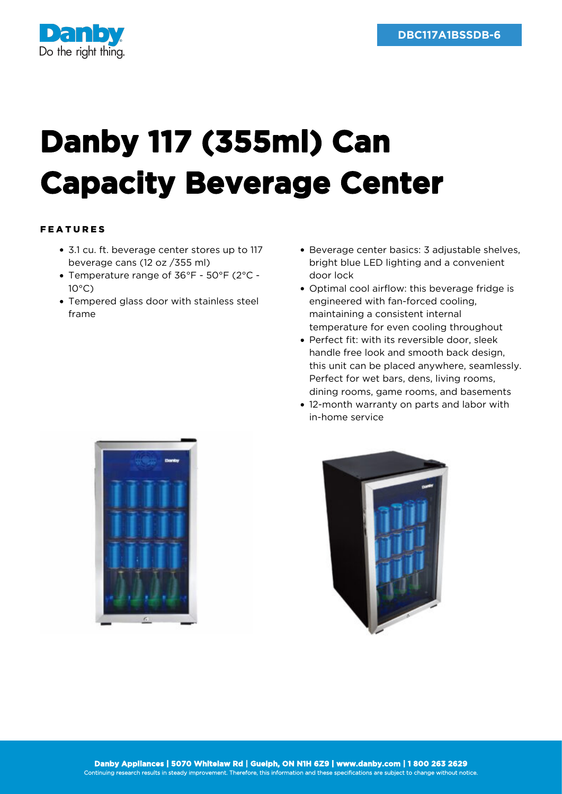

## **Danby 117 (355ml) Can Capacity Beverage Center**

## FEATURES

- 3.1 cu. ft. beverage center stores up to 117 beverage cans (12 oz /355 ml)
- Temperature range of 36°F 50°F (2°C 10°C)
- Tempered glass door with stainless steel frame
- Beverage center basics: 3 adjustable shelves, bright blue LED lighting and a convenient door lock
- Optimal cool airflow: this beverage fridge is engineered with fan-forced cooling, maintaining a consistent internal temperature for even cooling throughout
- Perfect fit: with its reversible door, sleek handle free look and smooth back design, this unit can be placed anywhere, seamlessly. Perfect for wet bars, dens, living rooms, dining rooms, game rooms, and basements
- 12-month warranty on parts and labor with in-home service